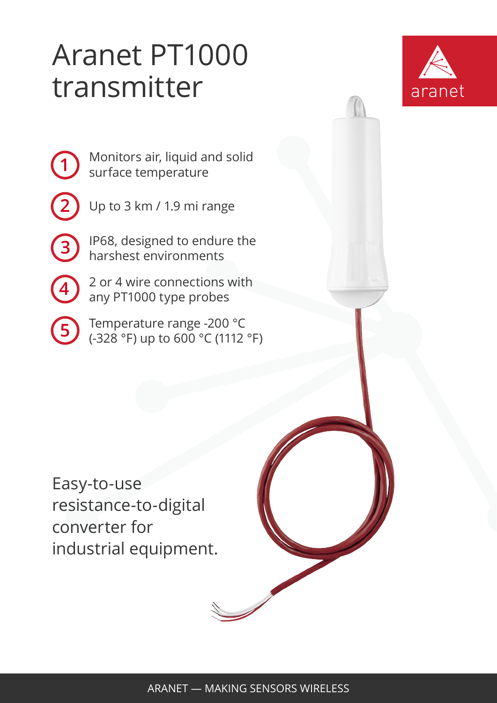## Aranet PT1000 transmitter



Monitors air, liquid and solid surface temperature

Up to 3 km / 1.9 mi range

**1**

**2**

**3**

**4**

**5**

IP68, designed to endure the harshest environments

2 or 4 wire connections with any PT1000 type probes

Temperature range -200 °C (-328 °F) up to 600 °C (1112 °F)

Easy-to-use resistance-to-digital converter for industrial equipment.